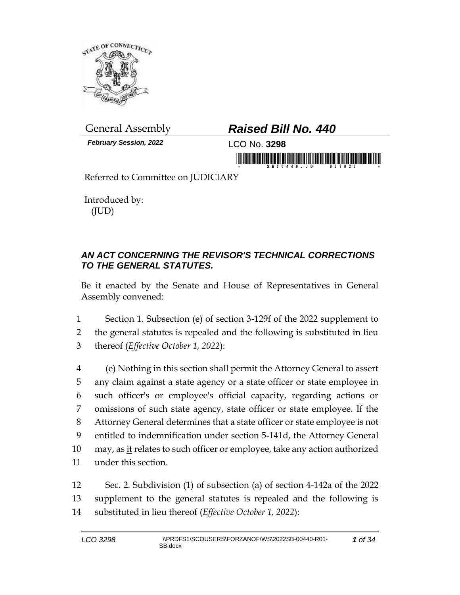

*February Session, 2022* LCO No. **3298**

## General Assembly *Raised Bill No. 440*

in monday is in initial fifth and high in the property

Referred to Committee on JUDICIARY

Introduced by: (JUD)

## *AN ACT CONCERNING THE REVISOR'S TECHNICAL CORRECTIONS TO THE GENERAL STATUTES.*

Be it enacted by the Senate and House of Representatives in General Assembly convened:

1 Section 1. Subsection (e) of section 3-129f of the 2022 supplement to 2 the general statutes is repealed and the following is substituted in lieu 3 thereof (*Effective October 1, 2022*):

 (e) Nothing in this section shall permit the Attorney General to assert any claim against a state agency or a state officer or state employee in such officer's or employee's official capacity, regarding actions or omissions of such state agency, state officer or state employee. If the Attorney General determines that a state officer or state employee is not entitled to indemnification under section 5-141d, the Attorney General 10 may, as it relates to such officer or employee, take any action authorized under this section.

12 Sec. 2. Subdivision (1) of subsection (a) of section 4-142a of the 2022 13 supplement to the general statutes is repealed and the following is 14 substituted in lieu thereof (*Effective October 1, 2022*):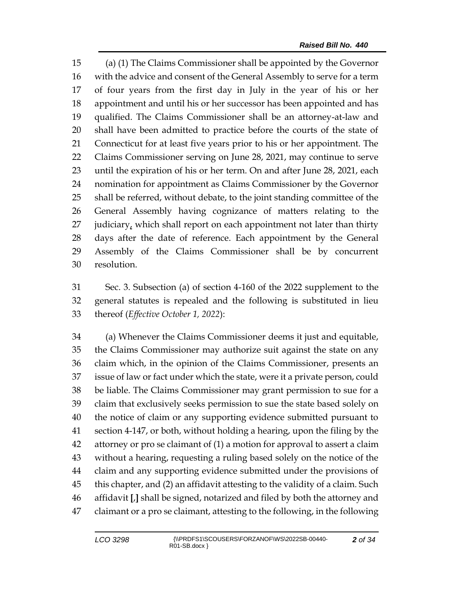(a) (1) The Claims Commissioner shall be appointed by the Governor with the advice and consent of the General Assembly to serve for a term of four years from the first day in July in the year of his or her appointment and until his or her successor has been appointed and has qualified. The Claims Commissioner shall be an attorney-at-law and shall have been admitted to practice before the courts of the state of Connecticut for at least five years prior to his or her appointment. The Claims Commissioner serving on June 28, 2021, may continue to serve until the expiration of his or her term. On and after June 28, 2021, each nomination for appointment as Claims Commissioner by the Governor shall be referred, without debate, to the joint standing committee of the General Assembly having cognizance of matters relating to the 27 judiciary, which shall report on each appointment not later than thirty days after the date of reference. Each appointment by the General Assembly of the Claims Commissioner shall be by concurrent resolution.

 Sec. 3. Subsection (a) of section 4-160 of the 2022 supplement to the general statutes is repealed and the following is substituted in lieu thereof (*Effective October 1, 2022*):

 (a) Whenever the Claims Commissioner deems it just and equitable, the Claims Commissioner may authorize suit against the state on any claim which, in the opinion of the Claims Commissioner, presents an issue of law or fact under which the state, were it a private person, could be liable. The Claims Commissioner may grant permission to sue for a claim that exclusively seeks permission to sue the state based solely on the notice of claim or any supporting evidence submitted pursuant to section 4-147, or both, without holding a hearing, upon the filing by the attorney or pro se claimant of (1) a motion for approval to assert a claim without a hearing, requesting a ruling based solely on the notice of the claim and any supporting evidence submitted under the provisions of this chapter, and (2) an affidavit attesting to the validity of a claim. Such affidavit **[**,**]** shall be signed, notarized and filed by both the attorney and claimant or a pro se claimant, attesting to the following, in the following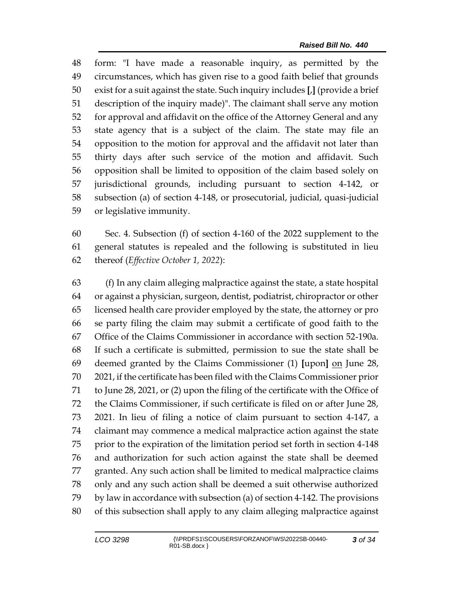form: "I have made a reasonable inquiry, as permitted by the circumstances, which has given rise to a good faith belief that grounds exist for a suit against the state. Such inquiry includes **[**,**]** (provide a brief description of the inquiry made)". The claimant shall serve any motion for approval and affidavit on the office of the Attorney General and any state agency that is a subject of the claim. The state may file an opposition to the motion for approval and the affidavit not later than thirty days after such service of the motion and affidavit. Such opposition shall be limited to opposition of the claim based solely on jurisdictional grounds, including pursuant to section 4-142, or subsection (a) of section 4-148, or prosecutorial, judicial, quasi-judicial or legislative immunity.

 Sec. 4. Subsection (f) of section 4-160 of the 2022 supplement to the general statutes is repealed and the following is substituted in lieu thereof (*Effective October 1, 2022*):

 (f) In any claim alleging malpractice against the state, a state hospital or against a physician, surgeon, dentist, podiatrist, chiropractor or other licensed health care provider employed by the state, the attorney or pro se party filing the claim may submit a certificate of good faith to the Office of the Claims Commissioner in accordance with section 52-190a. If such a certificate is submitted, permission to sue the state shall be deemed granted by the Claims Commissioner (1) **[**upon**]** on June 28, 2021, if the certificate has been filed with the Claims Commissioner prior to June 28, 2021, or (2) upon the filing of the certificate with the Office of the Claims Commissioner, if such certificate is filed on or after June 28, 2021. In lieu of filing a notice of claim pursuant to section 4-147, a claimant may commence a medical malpractice action against the state prior to the expiration of the limitation period set forth in section 4-148 and authorization for such action against the state shall be deemed granted. Any such action shall be limited to medical malpractice claims only and any such action shall be deemed a suit otherwise authorized by law in accordance with subsection (a) of section 4-142. The provisions of this subsection shall apply to any claim alleging malpractice against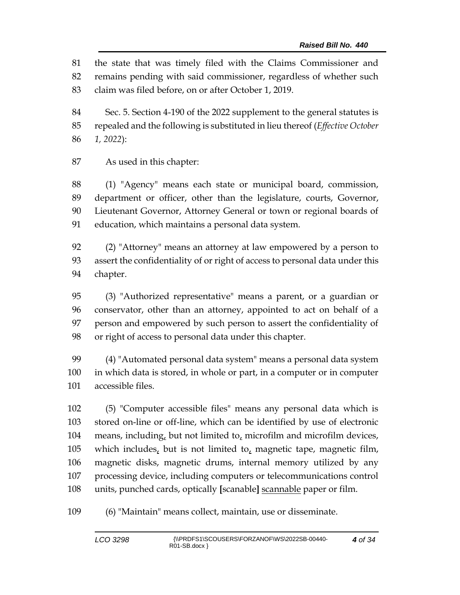the state that was timely filed with the Claims Commissioner and remains pending with said commissioner, regardless of whether such claim was filed before, on or after October 1, 2019.

 Sec. 5. Section 4-190 of the 2022 supplement to the general statutes is repealed and the following is substituted in lieu thereof (*Effective October 1, 2022*):

As used in this chapter:

 (1) "Agency" means each state or municipal board, commission, department or officer, other than the legislature, courts, Governor, Lieutenant Governor, Attorney General or town or regional boards of education, which maintains a personal data system.

 (2) "Attorney" means an attorney at law empowered by a person to assert the confidentiality of or right of access to personal data under this chapter.

 (3) "Authorized representative" means a parent, or a guardian or conservator, other than an attorney, appointed to act on behalf of a person and empowered by such person to assert the confidentiality of or right of access to personal data under this chapter.

 (4) "Automated personal data system" means a personal data system in which data is stored, in whole or part, in a computer or in computer accessible files.

 (5) "Computer accessible files" means any personal data which is stored on-line or off-line, which can be identified by use of electronic means, including, but not limited to, microfilm and microfilm devices, 105 which includes, but is not limited to, magnetic tape, magnetic film, magnetic disks, magnetic drums, internal memory utilized by any processing device, including computers or telecommunications control units, punched cards, optically **[**scanable**]** scannable paper or film.

(6) "Maintain" means collect, maintain, use or disseminate.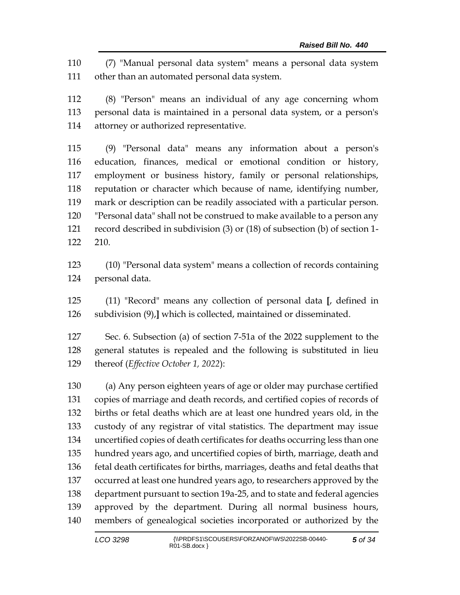(7) "Manual personal data system" means a personal data system other than an automated personal data system.

 (8) "Person" means an individual of any age concerning whom personal data is maintained in a personal data system, or a person's attorney or authorized representative.

 (9) "Personal data" means any information about a person's education, finances, medical or emotional condition or history, employment or business history, family or personal relationships, reputation or character which because of name, identifying number, mark or description can be readily associated with a particular person. "Personal data" shall not be construed to make available to a person any record described in subdivision (3) or (18) of subsection (b) of section 1- 210.

 (10) "Personal data system" means a collection of records containing personal data.

 (11) "Record" means any collection of personal data **[**, defined in subdivision (9),**]** which is collected, maintained or disseminated.

 Sec. 6. Subsection (a) of section 7-51a of the 2022 supplement to the general statutes is repealed and the following is substituted in lieu thereof (*Effective October 1, 2022*):

 (a) Any person eighteen years of age or older may purchase certified copies of marriage and death records, and certified copies of records of births or fetal deaths which are at least one hundred years old, in the custody of any registrar of vital statistics. The department may issue uncertified copies of death certificates for deaths occurring less than one hundred years ago, and uncertified copies of birth, marriage, death and fetal death certificates for births, marriages, deaths and fetal deaths that occurred at least one hundred years ago, to researchers approved by the department pursuant to section 19a-25, and to state and federal agencies approved by the department. During all normal business hours, members of genealogical societies incorporated or authorized by the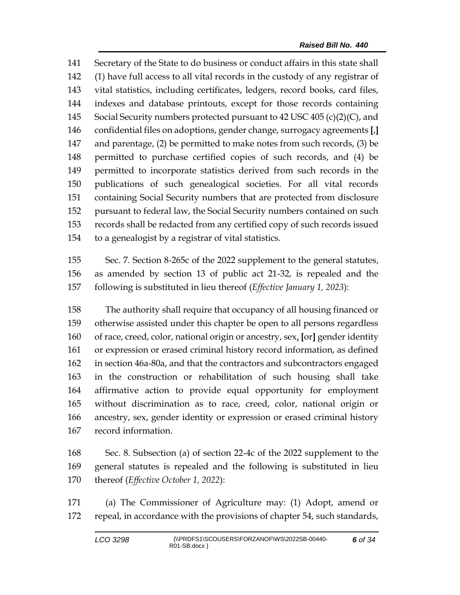Secretary of the State to do business or conduct affairs in this state shall (1) have full access to all vital records in the custody of any registrar of vital statistics, including certificates, ledgers, record books, card files, indexes and database printouts, except for those records containing Social Security numbers protected pursuant to 42 USC 405 (c)(2)(C), and confidential files on adoptions, gender change, surrogacy agreements **[**,**]** and parentage, (2) be permitted to make notes from such records, (3) be permitted to purchase certified copies of such records, and (4) be permitted to incorporate statistics derived from such records in the publications of such genealogical societies. For all vital records containing Social Security numbers that are protected from disclosure pursuant to federal law, the Social Security numbers contained on such records shall be redacted from any certified copy of such records issued to a genealogist by a registrar of vital statistics.

 Sec. 7. Section 8-265c of the 2022 supplement to the general statutes, as amended by section 13 of public act 21-32, is repealed and the following is substituted in lieu thereof (*Effective January 1, 2023*):

 The authority shall require that occupancy of all housing financed or otherwise assisted under this chapter be open to all persons regardless of race, creed, color, national origin or ancestry, sex, **[**or**]** gender identity or expression or erased criminal history record information, as defined in section 46a-80a, and that the contractors and subcontractors engaged in the construction or rehabilitation of such housing shall take affirmative action to provide equal opportunity for employment without discrimination as to race, creed, color, national origin or ancestry, sex, gender identity or expression or erased criminal history record information.

 Sec. 8. Subsection (a) of section 22-4c of the 2022 supplement to the general statutes is repealed and the following is substituted in lieu thereof (*Effective October 1, 2022*):

 (a) The Commissioner of Agriculture may: (1) Adopt, amend or repeal, in accordance with the provisions of chapter 54, such standards,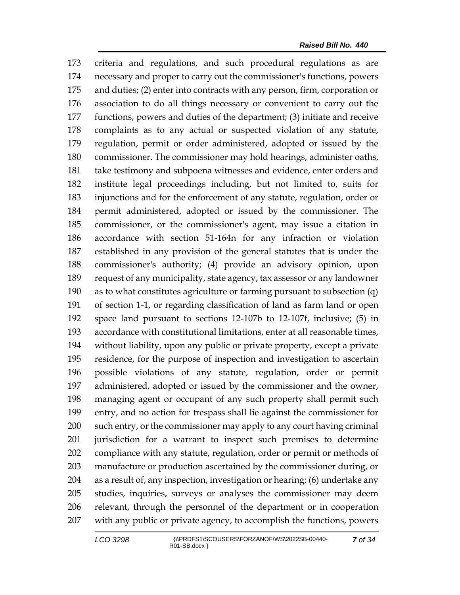criteria and regulations, and such procedural regulations as are necessary and proper to carry out the commissioner's functions, powers and duties; (2) enter into contracts with any person, firm, corporation or association to do all things necessary or convenient to carry out the functions, powers and duties of the department; (3) initiate and receive complaints as to any actual or suspected violation of any statute, regulation, permit or order administered, adopted or issued by the commissioner. The commissioner may hold hearings, administer oaths, take testimony and subpoena witnesses and evidence, enter orders and institute legal proceedings including, but not limited to, suits for injunctions and for the enforcement of any statute, regulation, order or permit administered, adopted or issued by the commissioner. The commissioner, or the commissioner's agent, may issue a citation in accordance with section 51-164n for any infraction or violation established in any provision of the general statutes that is under the commissioner's authority; (4) provide an advisory opinion, upon request of any municipality, state agency, tax assessor or any landowner as to what constitutes agriculture or farming pursuant to subsection (q) of section 1-1, or regarding classification of land as farm land or open space land pursuant to sections 12-107b to 12-107f, inclusive; (5) in accordance with constitutional limitations, enter at all reasonable times, without liability, upon any public or private property, except a private residence, for the purpose of inspection and investigation to ascertain possible violations of any statute, regulation, order or permit administered, adopted or issued by the commissioner and the owner, managing agent or occupant of any such property shall permit such entry, and no action for trespass shall lie against the commissioner for such entry, or the commissioner may apply to any court having criminal jurisdiction for a warrant to inspect such premises to determine compliance with any statute, regulation, order or permit or methods of manufacture or production ascertained by the commissioner during, or as a result of, any inspection, investigation or hearing; (6) undertake any studies, inquiries, surveys or analyses the commissioner may deem relevant, through the personnel of the department or in cooperation with any public or private agency, to accomplish the functions, powers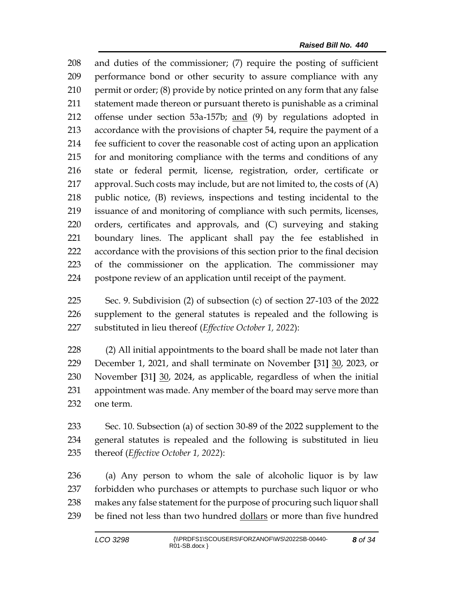and duties of the commissioner; (7) require the posting of sufficient performance bond or other security to assure compliance with any permit or order; (8) provide by notice printed on any form that any false statement made thereon or pursuant thereto is punishable as a criminal offense under section 53a-157b; and (9) by regulations adopted in accordance with the provisions of chapter 54, require the payment of a fee sufficient to cover the reasonable cost of acting upon an application for and monitoring compliance with the terms and conditions of any state or federal permit, license, registration, order, certificate or approval. Such costs may include, but are not limited to, the costs of (A) public notice, (B) reviews, inspections and testing incidental to the issuance of and monitoring of compliance with such permits, licenses, orders, certificates and approvals, and (C) surveying and staking boundary lines. The applicant shall pay the fee established in accordance with the provisions of this section prior to the final decision of the commissioner on the application. The commissioner may postpone review of an application until receipt of the payment.

 Sec. 9. Subdivision (2) of subsection (c) of section 27-103 of the 2022 supplement to the general statutes is repealed and the following is substituted in lieu thereof (*Effective October 1, 2022*):

 (2) All initial appointments to the board shall be made not later than December 1, 2021, and shall terminate on November **[**31**]** 30, 2023, or November **[**31**]** 30, 2024, as applicable, regardless of when the initial appointment was made. Any member of the board may serve more than one term.

 Sec. 10. Subsection (a) of section 30-89 of the 2022 supplement to the general statutes is repealed and the following is substituted in lieu thereof (*Effective October 1, 2022*):

 (a) Any person to whom the sale of alcoholic liquor is by law forbidden who purchases or attempts to purchase such liquor or who makes any false statement for the purpose of procuring such liquor shall be fined not less than two hundred dollars or more than five hundred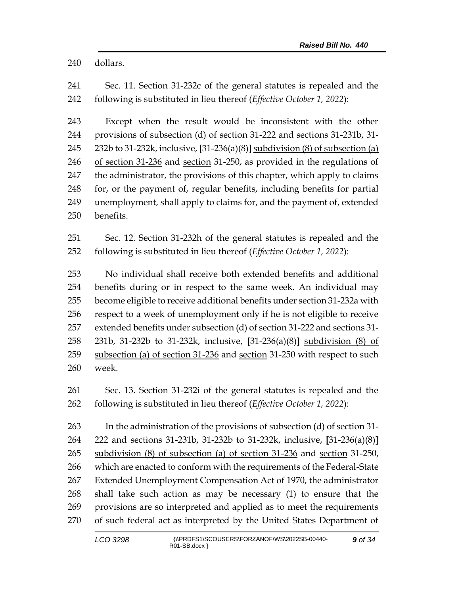dollars.

 Sec. 11. Section 31-232c of the general statutes is repealed and the following is substituted in lieu thereof (*Effective October 1, 2022*):

 Except when the result would be inconsistent with the other provisions of subsection (d) of section 31-222 and sections 31-231b, 31- 232b to 31-232k, inclusive, **[**31-236(a)(8)**]** subdivision (8) of subsection (a) of section 31-236 and section 31-250, as provided in the regulations of the administrator, the provisions of this chapter, which apply to claims for, or the payment of, regular benefits, including benefits for partial unemployment, shall apply to claims for, and the payment of, extended benefits.

 Sec. 12. Section 31-232h of the general statutes is repealed and the following is substituted in lieu thereof (*Effective October 1, 2022*):

 No individual shall receive both extended benefits and additional benefits during or in respect to the same week. An individual may become eligible to receive additional benefits under section 31-232a with respect to a week of unemployment only if he is not eligible to receive extended benefits under subsection (d) of section 31-222 and sections 31- 231b, 31-232b to 31-232k, inclusive, **[**31-236(a)(8)**]** subdivision (8) of 259 subsection (a) of section 31-236 and section 31-250 with respect to such week.

 Sec. 13. Section 31-232i of the general statutes is repealed and the following is substituted in lieu thereof (*Effective October 1, 2022*):

 In the administration of the provisions of subsection (d) of section 31- 222 and sections 31-231b, 31-232b to 31-232k, inclusive, **[**31-236(a)(8)**]** subdivision (8) of subsection (a) of section 31-236 and section 31-250, which are enacted to conform with the requirements of the Federal-State Extended Unemployment Compensation Act of 1970, the administrator shall take such action as may be necessary (1) to ensure that the provisions are so interpreted and applied as to meet the requirements of such federal act as interpreted by the United States Department of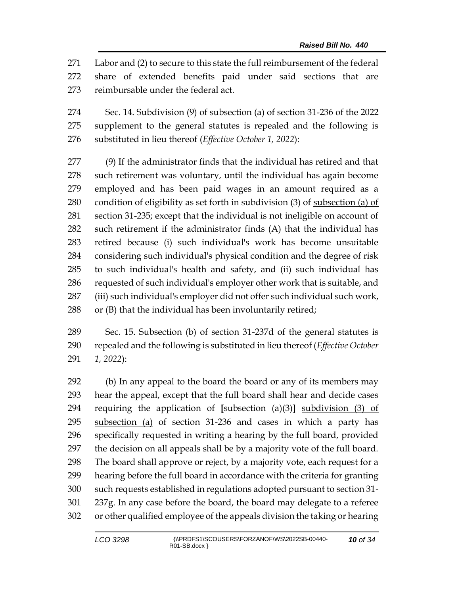Labor and (2) to secure to this state the full reimbursement of the federal share of extended benefits paid under said sections that are reimbursable under the federal act.

 Sec. 14. Subdivision (9) of subsection (a) of section 31-236 of the 2022 supplement to the general statutes is repealed and the following is substituted in lieu thereof (*Effective October 1, 2022*):

 (9) If the administrator finds that the individual has retired and that such retirement was voluntary, until the individual has again become employed and has been paid wages in an amount required as a condition of eligibility as set forth in subdivision (3) of subsection (a) of section 31-235; except that the individual is not ineligible on account of such retirement if the administrator finds (A) that the individual has retired because (i) such individual's work has become unsuitable considering such individual's physical condition and the degree of risk to such individual's health and safety, and (ii) such individual has requested of such individual's employer other work that is suitable, and (iii) such individual's employer did not offer such individual such work, or (B) that the individual has been involuntarily retired;

 Sec. 15. Subsection (b) of section 31-237d of the general statutes is repealed and the following is substituted in lieu thereof (*Effective October 1, 2022*):

 (b) In any appeal to the board the board or any of its members may hear the appeal, except that the full board shall hear and decide cases requiring the application of **[**subsection (a)(3)**]** subdivision (3) of subsection (a) of section 31-236 and cases in which a party has specifically requested in writing a hearing by the full board, provided the decision on all appeals shall be by a majority vote of the full board. The board shall approve or reject, by a majority vote, each request for a hearing before the full board in accordance with the criteria for granting such requests established in regulations adopted pursuant to section 31- 237g. In any case before the board, the board may delegate to a referee or other qualified employee of the appeals division the taking or hearing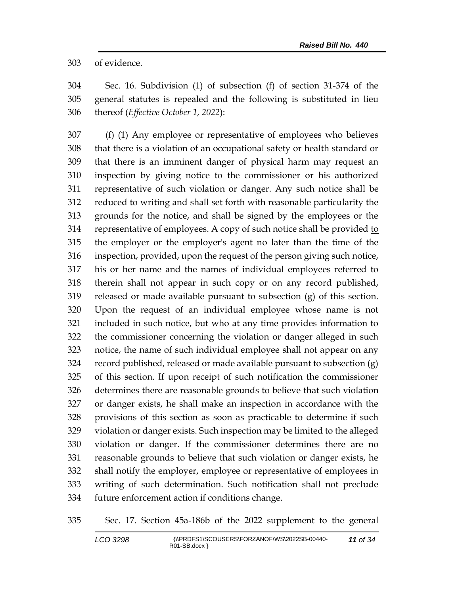of evidence.

 Sec. 16. Subdivision (1) of subsection (f) of section 31-374 of the general statutes is repealed and the following is substituted in lieu thereof (*Effective October 1, 2022*):

 (f) (1) Any employee or representative of employees who believes that there is a violation of an occupational safety or health standard or that there is an imminent danger of physical harm may request an inspection by giving notice to the commissioner or his authorized representative of such violation or danger. Any such notice shall be reduced to writing and shall set forth with reasonable particularity the grounds for the notice, and shall be signed by the employees or the representative of employees. A copy of such notice shall be provided to the employer or the employer's agent no later than the time of the inspection, provided, upon the request of the person giving such notice, his or her name and the names of individual employees referred to therein shall not appear in such copy or on any record published, released or made available pursuant to subsection (g) of this section. Upon the request of an individual employee whose name is not included in such notice, but who at any time provides information to the commissioner concerning the violation or danger alleged in such notice, the name of such individual employee shall not appear on any record published, released or made available pursuant to subsection (g) of this section. If upon receipt of such notification the commissioner determines there are reasonable grounds to believe that such violation or danger exists, he shall make an inspection in accordance with the provisions of this section as soon as practicable to determine if such violation or danger exists. Such inspection may be limited to the alleged violation or danger. If the commissioner determines there are no reasonable grounds to believe that such violation or danger exists, he shall notify the employer, employee or representative of employees in writing of such determination. Such notification shall not preclude future enforcement action if conditions change.

Sec. 17. Section 45a-186b of the 2022 supplement to the general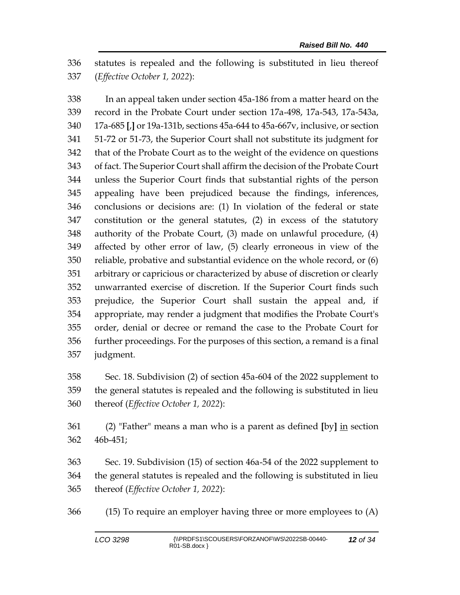statutes is repealed and the following is substituted in lieu thereof (*Effective October 1, 2022*):

 In an appeal taken under section 45a-186 from a matter heard on the record in the Probate Court under section 17a-498, 17a-543, 17a-543a, 17a-685 **[**,**]** or 19a-131b, sections 45a-644 to 45a-667v, inclusive, or section 51-72 or 51-73, the Superior Court shall not substitute its judgment for that of the Probate Court as to the weight of the evidence on questions of fact. The Superior Court shall affirm the decision of the Probate Court unless the Superior Court finds that substantial rights of the person appealing have been prejudiced because the findings, inferences, conclusions or decisions are: (1) In violation of the federal or state constitution or the general statutes, (2) in excess of the statutory authority of the Probate Court, (3) made on unlawful procedure, (4) affected by other error of law, (5) clearly erroneous in view of the reliable, probative and substantial evidence on the whole record, or (6) arbitrary or capricious or characterized by abuse of discretion or clearly unwarranted exercise of discretion. If the Superior Court finds such prejudice, the Superior Court shall sustain the appeal and, if appropriate, may render a judgment that modifies the Probate Court's order, denial or decree or remand the case to the Probate Court for further proceedings. For the purposes of this section, a remand is a final judgment.

 Sec. 18. Subdivision (2) of section 45a-604 of the 2022 supplement to the general statutes is repealed and the following is substituted in lieu thereof (*Effective October 1, 2022*):

 (2) "Father" means a man who is a parent as defined **[**by**]** in section 46b-451;

 Sec. 19. Subdivision (15) of section 46a-54 of the 2022 supplement to the general statutes is repealed and the following is substituted in lieu thereof (*Effective October 1, 2022*):

(15) To require an employer having three or more employees to (A)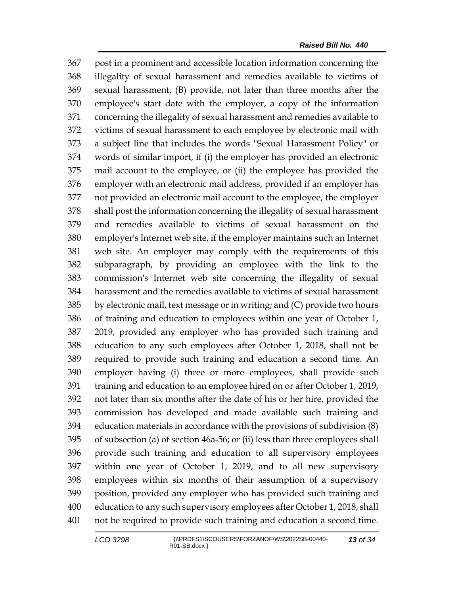post in a prominent and accessible location information concerning the illegality of sexual harassment and remedies available to victims of sexual harassment, (B) provide, not later than three months after the employee's start date with the employer, a copy of the information concerning the illegality of sexual harassment and remedies available to victims of sexual harassment to each employee by electronic mail with a subject line that includes the words "Sexual Harassment Policy" or words of similar import, if (i) the employer has provided an electronic mail account to the employee, or (ii) the employee has provided the employer with an electronic mail address, provided if an employer has not provided an electronic mail account to the employee, the employer shall post the information concerning the illegality of sexual harassment and remedies available to victims of sexual harassment on the employer's Internet web site, if the employer maintains such an Internet web site. An employer may comply with the requirements of this subparagraph, by providing an employee with the link to the commission's Internet web site concerning the illegality of sexual harassment and the remedies available to victims of sexual harassment by electronic mail, text message or in writing; and (C) provide two hours of training and education to employees within one year of October 1, 2019, provided any employer who has provided such training and education to any such employees after October 1, 2018, shall not be required to provide such training and education a second time. An employer having (i) three or more employees, shall provide such training and education to an employee hired on or after October 1, 2019, not later than six months after the date of his or her hire, provided the commission has developed and made available such training and education materials in accordance with the provisions of subdivision (8) of subsection (a) of section 46a-56; or (ii) less than three employees shall provide such training and education to all supervisory employees within one year of October 1, 2019, and to all new supervisory employees within six months of their assumption of a supervisory position, provided any employer who has provided such training and education to any such supervisory employees after October 1, 2018, shall not be required to provide such training and education a second time.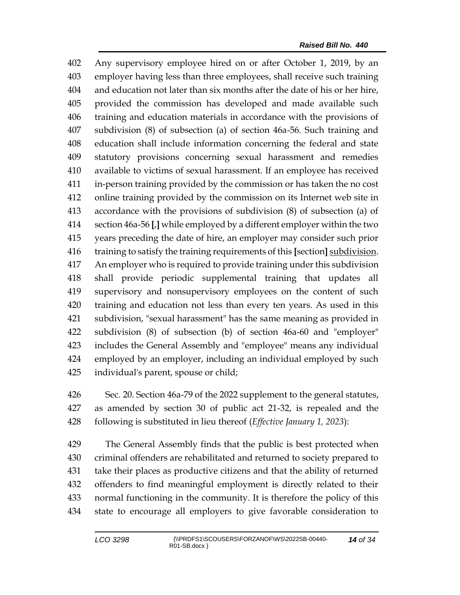Any supervisory employee hired on or after October 1, 2019, by an employer having less than three employees, shall receive such training and education not later than six months after the date of his or her hire, provided the commission has developed and made available such training and education materials in accordance with the provisions of subdivision (8) of subsection (a) of section 46a-56. Such training and education shall include information concerning the federal and state statutory provisions concerning sexual harassment and remedies available to victims of sexual harassment. If an employee has received in-person training provided by the commission or has taken the no cost online training provided by the commission on its Internet web site in accordance with the provisions of subdivision (8) of subsection (a) of section 46a-56 **[**,**]** while employed by a different employer within the two years preceding the date of hire, an employer may consider such prior training to satisfy the training requirements of this **[**section**]** subdivision. An employer who is required to provide training under this subdivision shall provide periodic supplemental training that updates all supervisory and nonsupervisory employees on the content of such training and education not less than every ten years. As used in this subdivision, "sexual harassment" has the same meaning as provided in subdivision (8) of subsection (b) of section 46a-60 and "employer" includes the General Assembly and "employee" means any individual employed by an employer, including an individual employed by such individual's parent, spouse or child;

 Sec. 20. Section 46a-79 of the 2022 supplement to the general statutes, as amended by section 30 of public act 21-32, is repealed and the following is substituted in lieu thereof (*Effective January 1, 2023*):

 The General Assembly finds that the public is best protected when criminal offenders are rehabilitated and returned to society prepared to take their places as productive citizens and that the ability of returned offenders to find meaningful employment is directly related to their normal functioning in the community. It is therefore the policy of this state to encourage all employers to give favorable consideration to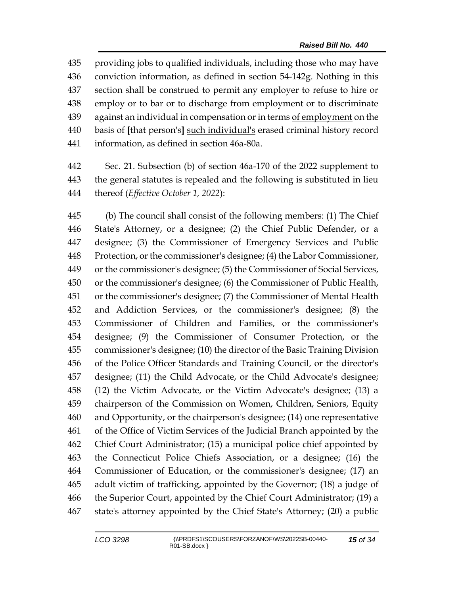providing jobs to qualified individuals, including those who may have conviction information, as defined in section 54-142g. Nothing in this section shall be construed to permit any employer to refuse to hire or employ or to bar or to discharge from employment or to discriminate 439 against an individual in compensation or in terms of employment on the basis of **[**that person's**]** such individual's erased criminal history record information, as defined in section 46a-80a.

 Sec. 21. Subsection (b) of section 46a-170 of the 2022 supplement to the general statutes is repealed and the following is substituted in lieu thereof (*Effective October 1, 2022*):

 (b) The council shall consist of the following members: (1) The Chief State's Attorney, or a designee; (2) the Chief Public Defender, or a designee; (3) the Commissioner of Emergency Services and Public Protection, or the commissioner's designee; (4) the Labor Commissioner, or the commissioner's designee; (5) the Commissioner of Social Services, or the commissioner's designee; (6) the Commissioner of Public Health, or the commissioner's designee; (7) the Commissioner of Mental Health and Addiction Services, or the commissioner's designee; (8) the Commissioner of Children and Families, or the commissioner's designee; (9) the Commissioner of Consumer Protection, or the commissioner's designee; (10) the director of the Basic Training Division of the Police Officer Standards and Training Council, or the director's designee; (11) the Child Advocate, or the Child Advocate's designee; (12) the Victim Advocate, or the Victim Advocate's designee; (13) a chairperson of the Commission on Women, Children, Seniors, Equity and Opportunity, or the chairperson's designee; (14) one representative of the Office of Victim Services of the Judicial Branch appointed by the Chief Court Administrator; (15) a municipal police chief appointed by the Connecticut Police Chiefs Association, or a designee; (16) the Commissioner of Education, or the commissioner's designee; (17) an adult victim of trafficking, appointed by the Governor; (18) a judge of the Superior Court, appointed by the Chief Court Administrator; (19) a state's attorney appointed by the Chief State's Attorney; (20) a public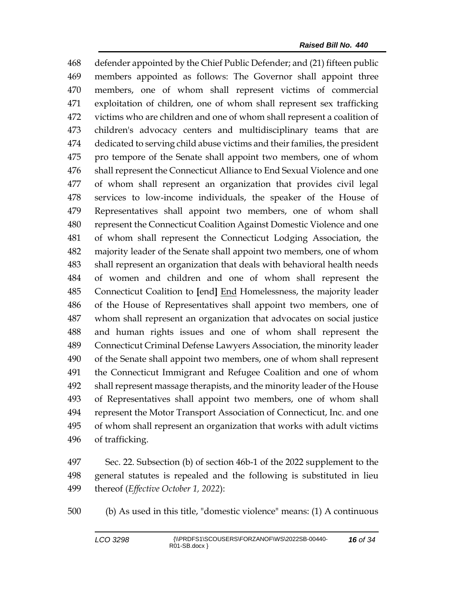defender appointed by the Chief Public Defender; and (21) fifteen public members appointed as follows: The Governor shall appoint three members, one of whom shall represent victims of commercial exploitation of children, one of whom shall represent sex trafficking victims who are children and one of whom shall represent a coalition of children's advocacy centers and multidisciplinary teams that are dedicated to serving child abuse victims and their families, the president pro tempore of the Senate shall appoint two members, one of whom shall represent the Connecticut Alliance to End Sexual Violence and one of whom shall represent an organization that provides civil legal services to low-income individuals, the speaker of the House of Representatives shall appoint two members, one of whom shall represent the Connecticut Coalition Against Domestic Violence and one of whom shall represent the Connecticut Lodging Association, the majority leader of the Senate shall appoint two members, one of whom shall represent an organization that deals with behavioral health needs of women and children and one of whom shall represent the Connecticut Coalition to **[**end**]** End Homelessness, the majority leader of the House of Representatives shall appoint two members, one of whom shall represent an organization that advocates on social justice and human rights issues and one of whom shall represent the Connecticut Criminal Defense Lawyers Association, the minority leader of the Senate shall appoint two members, one of whom shall represent the Connecticut Immigrant and Refugee Coalition and one of whom shall represent massage therapists, and the minority leader of the House of Representatives shall appoint two members, one of whom shall represent the Motor Transport Association of Connecticut, Inc. and one of whom shall represent an organization that works with adult victims of trafficking.

 Sec. 22. Subsection (b) of section 46b-1 of the 2022 supplement to the general statutes is repealed and the following is substituted in lieu thereof (*Effective October 1, 2022*):

(b) As used in this title, "domestic violence" means: (1) A continuous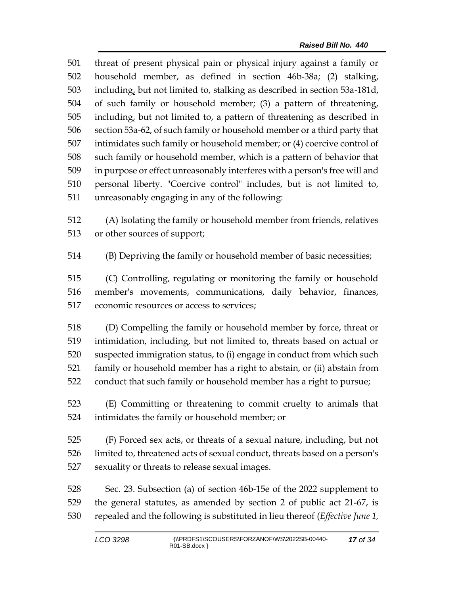threat of present physical pain or physical injury against a family or household member, as defined in section 46b-38a; (2) stalking, including, but not limited to, stalking as described in section 53a-181d, of such family or household member; (3) a pattern of threatening, including, but not limited to, a pattern of threatening as described in section 53a-62, of such family or household member or a third party that intimidates such family or household member; or (4) coercive control of such family or household member, which is a pattern of behavior that in purpose or effect unreasonably interferes with a person's free will and personal liberty. "Coercive control" includes, but is not limited to, unreasonably engaging in any of the following:

 (A) Isolating the family or household member from friends, relatives or other sources of support;

(B) Depriving the family or household member of basic necessities;

 (C) Controlling, regulating or monitoring the family or household member's movements, communications, daily behavior, finances, economic resources or access to services;

 (D) Compelling the family or household member by force, threat or intimidation, including, but not limited to, threats based on actual or suspected immigration status, to (i) engage in conduct from which such family or household member has a right to abstain, or (ii) abstain from conduct that such family or household member has a right to pursue;

 (E) Committing or threatening to commit cruelty to animals that intimidates the family or household member; or

 (F) Forced sex acts, or threats of a sexual nature, including, but not limited to, threatened acts of sexual conduct, threats based on a person's sexuality or threats to release sexual images.

 Sec. 23. Subsection (a) of section 46b-15e of the 2022 supplement to the general statutes, as amended by section 2 of public act 21-67, is repealed and the following is substituted in lieu thereof (*Effective June 1,*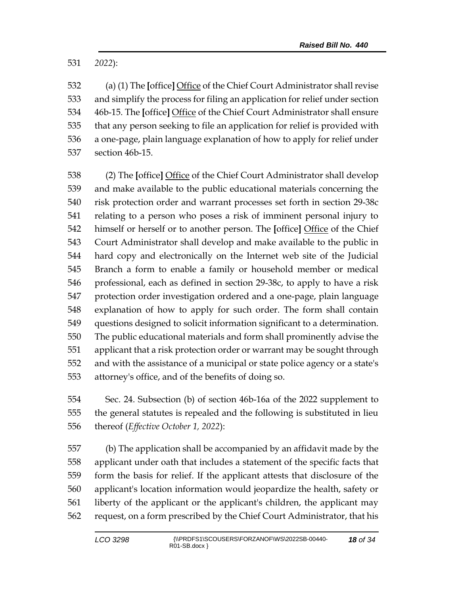*2022*):

 (a) (1) The **[**office**]** Office of the Chief Court Administrator shall revise and simplify the process for filing an application for relief under section 46b-15. The **[**office**]** Office of the Chief Court Administrator shall ensure that any person seeking to file an application for relief is provided with a one-page, plain language explanation of how to apply for relief under section 46b-15.

 (2) The **[**office**]** Office of the Chief Court Administrator shall develop and make available to the public educational materials concerning the risk protection order and warrant processes set forth in section 29-38c relating to a person who poses a risk of imminent personal injury to himself or herself or to another person. The **[**office**]** Office of the Chief Court Administrator shall develop and make available to the public in hard copy and electronically on the Internet web site of the Judicial Branch a form to enable a family or household member or medical professional, each as defined in section 29-38c, to apply to have a risk protection order investigation ordered and a one-page, plain language explanation of how to apply for such order. The form shall contain questions designed to solicit information significant to a determination. The public educational materials and form shall prominently advise the applicant that a risk protection order or warrant may be sought through and with the assistance of a municipal or state police agency or a state's attorney's office, and of the benefits of doing so.

 Sec. 24. Subsection (b) of section 46b-16a of the 2022 supplement to the general statutes is repealed and the following is substituted in lieu thereof (*Effective October 1, 2022*):

 (b) The application shall be accompanied by an affidavit made by the applicant under oath that includes a statement of the specific facts that form the basis for relief. If the applicant attests that disclosure of the applicant's location information would jeopardize the health, safety or liberty of the applicant or the applicant's children, the applicant may request, on a form prescribed by the Chief Court Administrator, that his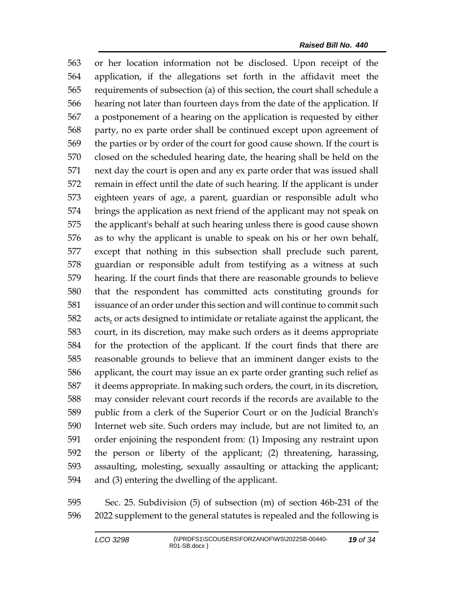or her location information not be disclosed. Upon receipt of the application, if the allegations set forth in the affidavit meet the requirements of subsection (a) of this section, the court shall schedule a hearing not later than fourteen days from the date of the application. If a postponement of a hearing on the application is requested by either party, no ex parte order shall be continued except upon agreement of the parties or by order of the court for good cause shown. If the court is closed on the scheduled hearing date, the hearing shall be held on the next day the court is open and any ex parte order that was issued shall remain in effect until the date of such hearing. If the applicant is under eighteen years of age, a parent, guardian or responsible adult who brings the application as next friend of the applicant may not speak on the applicant's behalf at such hearing unless there is good cause shown as to why the applicant is unable to speak on his or her own behalf, except that nothing in this subsection shall preclude such parent, guardian or responsible adult from testifying as a witness at such hearing. If the court finds that there are reasonable grounds to believe that the respondent has committed acts constituting grounds for issuance of an order under this section and will continue to commit such acts, or acts designed to intimidate or retaliate against the applicant, the court, in its discretion, may make such orders as it deems appropriate for the protection of the applicant. If the court finds that there are reasonable grounds to believe that an imminent danger exists to the applicant, the court may issue an ex parte order granting such relief as it deems appropriate. In making such orders, the court, in its discretion, may consider relevant court records if the records are available to the public from a clerk of the Superior Court or on the Judicial Branch's Internet web site. Such orders may include, but are not limited to, an order enjoining the respondent from: (1) Imposing any restraint upon the person or liberty of the applicant; (2) threatening, harassing, assaulting, molesting, sexually assaulting or attacking the applicant; and (3) entering the dwelling of the applicant.

 Sec. 25. Subdivision (5) of subsection (m) of section 46b-231 of the 2022 supplement to the general statutes is repealed and the following is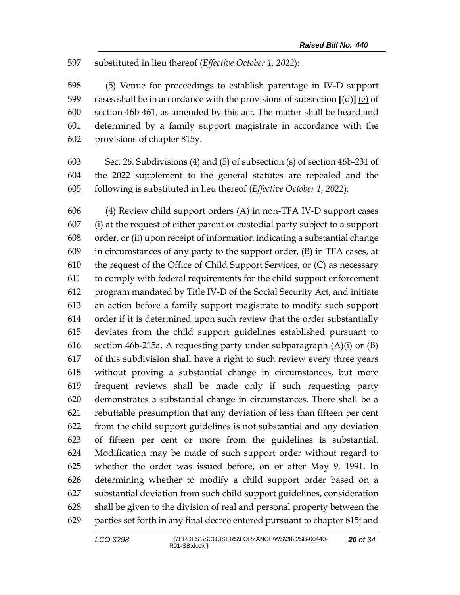substituted in lieu thereof (*Effective October 1, 2022*):

 (5) Venue for proceedings to establish parentage in IV-D support cases shall be in accordance with the provisions of subsection **[**(d)**]** (e) of section 46b-461, as amended by this act. The matter shall be heard and determined by a family support magistrate in accordance with the provisions of chapter 815y.

 Sec. 26. Subdivisions (4) and (5) of subsection (s) of section 46b-231 of the 2022 supplement to the general statutes are repealed and the following is substituted in lieu thereof (*Effective October 1, 2022*):

 (4) Review child support orders (A) in non-TFA IV-D support cases (i) at the request of either parent or custodial party subject to a support order, or (ii) upon receipt of information indicating a substantial change in circumstances of any party to the support order, (B) in TFA cases, at the request of the Office of Child Support Services, or (C) as necessary to comply with federal requirements for the child support enforcement program mandated by Title IV-D of the Social Security Act, and initiate an action before a family support magistrate to modify such support order if it is determined upon such review that the order substantially deviates from the child support guidelines established pursuant to section 46b-215a. A requesting party under subparagraph (A)(i) or (B) of this subdivision shall have a right to such review every three years without proving a substantial change in circumstances, but more frequent reviews shall be made only if such requesting party demonstrates a substantial change in circumstances. There shall be a rebuttable presumption that any deviation of less than fifteen per cent from the child support guidelines is not substantial and any deviation of fifteen per cent or more from the guidelines is substantial. Modification may be made of such support order without regard to whether the order was issued before, on or after May 9, 1991. In determining whether to modify a child support order based on a substantial deviation from such child support guidelines, consideration shall be given to the division of real and personal property between the parties set forth in any final decree entered pursuant to chapter 815j and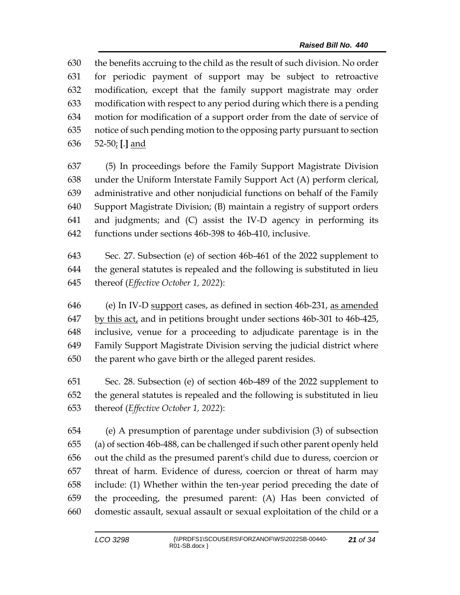the benefits accruing to the child as the result of such division. No order for periodic payment of support may be subject to retroactive modification, except that the family support magistrate may order modification with respect to any period during which there is a pending motion for modification of a support order from the date of service of notice of such pending motion to the opposing party pursuant to section 52-50; **[**.**]** and

 (5) In proceedings before the Family Support Magistrate Division under the Uniform Interstate Family Support Act (A) perform clerical, administrative and other nonjudicial functions on behalf of the Family Support Magistrate Division; (B) maintain a registry of support orders and judgments; and (C) assist the IV-D agency in performing its functions under sections 46b-398 to 46b-410, inclusive.

 Sec. 27. Subsection (e) of section 46b-461 of the 2022 supplement to the general statutes is repealed and the following is substituted in lieu thereof (*Effective October 1, 2022*):

646 (e) In IV-D support cases, as defined in section 46b-231, as amended by this act, and in petitions brought under sections 46b-301 to 46b-425, inclusive, venue for a proceeding to adjudicate parentage is in the Family Support Magistrate Division serving the judicial district where the parent who gave birth or the alleged parent resides.

 Sec. 28. Subsection (e) of section 46b-489 of the 2022 supplement to the general statutes is repealed and the following is substituted in lieu thereof (*Effective October 1, 2022*):

 (e) A presumption of parentage under subdivision (3) of subsection (a) of section 46b-488, can be challenged if such other parent openly held out the child as the presumed parent's child due to duress, coercion or threat of harm. Evidence of duress, coercion or threat of harm may include: (1) Whether within the ten-year period preceding the date of the proceeding, the presumed parent: (A) Has been convicted of domestic assault, sexual assault or sexual exploitation of the child or a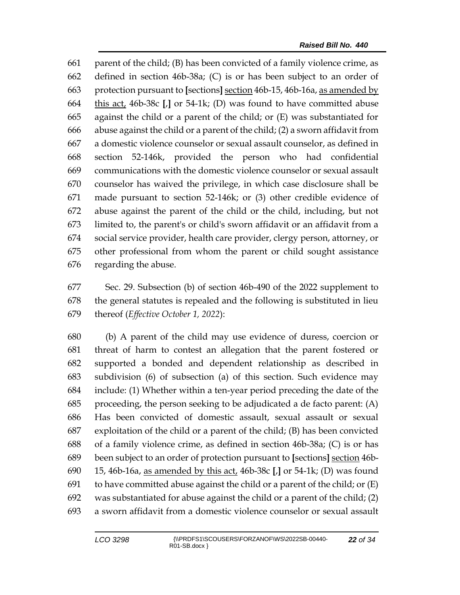parent of the child; (B) has been convicted of a family violence crime, as defined in section 46b-38a; (C) is or has been subject to an order of protection pursuant to **[**sections**]** section 46b-15, 46b-16a, as amended by this act, 46b-38c **[**,**]** or 54-1k; (D) was found to have committed abuse against the child or a parent of the child; or (E) was substantiated for abuse against the child or a parent of the child; (2) a sworn affidavit from a domestic violence counselor or sexual assault counselor, as defined in section 52-146k, provided the person who had confidential communications with the domestic violence counselor or sexual assault counselor has waived the privilege, in which case disclosure shall be made pursuant to section 52-146k; or (3) other credible evidence of abuse against the parent of the child or the child, including, but not limited to, the parent's or child's sworn affidavit or an affidavit from a social service provider, health care provider, clergy person, attorney, or other professional from whom the parent or child sought assistance regarding the abuse.

 Sec. 29. Subsection (b) of section 46b-490 of the 2022 supplement to the general statutes is repealed and the following is substituted in lieu thereof (*Effective October 1, 2022*):

 (b) A parent of the child may use evidence of duress, coercion or threat of harm to contest an allegation that the parent fostered or supported a bonded and dependent relationship as described in subdivision (6) of subsection (a) of this section. Such evidence may include: (1) Whether within a ten-year period preceding the date of the proceeding, the person seeking to be adjudicated a de facto parent: (A) Has been convicted of domestic assault, sexual assault or sexual exploitation of the child or a parent of the child; (B) has been convicted of a family violence crime, as defined in section 46b-38a; (C) is or has been subject to an order of protection pursuant to **[**sections**]** section 46b- 15, 46b-16a, as amended by this act, 46b-38c **[**,**]** or 54-1k; (D) was found 691 to have committed abuse against the child or a parent of the child; or  $(E)$  was substantiated for abuse against the child or a parent of the child; (2) a sworn affidavit from a domestic violence counselor or sexual assault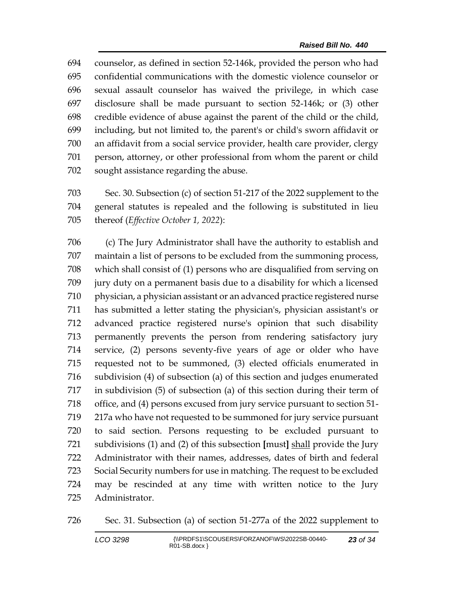counselor, as defined in section 52-146k, provided the person who had confidential communications with the domestic violence counselor or sexual assault counselor has waived the privilege, in which case disclosure shall be made pursuant to section 52-146k; or (3) other credible evidence of abuse against the parent of the child or the child, including, but not limited to, the parent's or child's sworn affidavit or an affidavit from a social service provider, health care provider, clergy person, attorney, or other professional from whom the parent or child sought assistance regarding the abuse.

 Sec. 30. Subsection (c) of section 51-217 of the 2022 supplement to the general statutes is repealed and the following is substituted in lieu thereof (*Effective October 1, 2022*):

 (c) The Jury Administrator shall have the authority to establish and maintain a list of persons to be excluded from the summoning process, which shall consist of (1) persons who are disqualified from serving on jury duty on a permanent basis due to a disability for which a licensed physician, a physician assistant or an advanced practice registered nurse has submitted a letter stating the physician's, physician assistant's or advanced practice registered nurse's opinion that such disability permanently prevents the person from rendering satisfactory jury service, (2) persons seventy-five years of age or older who have requested not to be summoned, (3) elected officials enumerated in subdivision (4) of subsection (a) of this section and judges enumerated in subdivision (5) of subsection (a) of this section during their term of office, and (4) persons excused from jury service pursuant to section 51- 217a who have not requested to be summoned for jury service pursuant to said section. Persons requesting to be excluded pursuant to subdivisions (1) and (2) of this subsection **[**must**]** shall provide the Jury Administrator with their names, addresses, dates of birth and federal Social Security numbers for use in matching. The request to be excluded may be rescinded at any time with written notice to the Jury Administrator.

```
726 Sec. 31. Subsection (a) of section 51-277a of the 2022 supplement to
```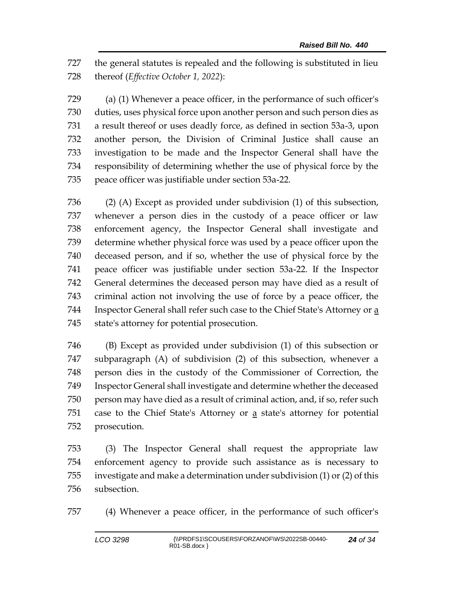the general statutes is repealed and the following is substituted in lieu thereof (*Effective October 1, 2022*):

 (a) (1) Whenever a peace officer, in the performance of such officer's duties, uses physical force upon another person and such person dies as a result thereof or uses deadly force, as defined in section 53a-3, upon another person, the Division of Criminal Justice shall cause an investigation to be made and the Inspector General shall have the responsibility of determining whether the use of physical force by the peace officer was justifiable under section 53a-22.

 (2) (A) Except as provided under subdivision (1) of this subsection, whenever a person dies in the custody of a peace officer or law enforcement agency, the Inspector General shall investigate and determine whether physical force was used by a peace officer upon the deceased person, and if so, whether the use of physical force by the peace officer was justifiable under section 53a-22. If the Inspector General determines the deceased person may have died as a result of criminal action not involving the use of force by a peace officer, the Inspector General shall refer such case to the Chief State's Attorney or a state's attorney for potential prosecution.

 (B) Except as provided under subdivision (1) of this subsection or subparagraph (A) of subdivision (2) of this subsection, whenever a person dies in the custody of the Commissioner of Correction, the Inspector General shall investigate and determine whether the deceased person may have died as a result of criminal action, and, if so, refer such case to the Chief State's Attorney or a state's attorney for potential prosecution.

 (3) The Inspector General shall request the appropriate law enforcement agency to provide such assistance as is necessary to investigate and make a determination under subdivision (1) or (2) of this subsection.

(4) Whenever a peace officer, in the performance of such officer's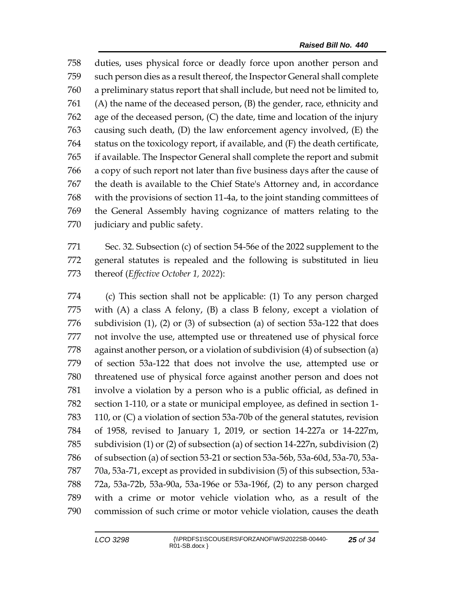duties, uses physical force or deadly force upon another person and such person dies as a result thereof, the Inspector General shall complete a preliminary status report that shall include, but need not be limited to, (A) the name of the deceased person, (B) the gender, race, ethnicity and age of the deceased person, (C) the date, time and location of the injury causing such death, (D) the law enforcement agency involved, (E) the status on the toxicology report, if available, and (F) the death certificate, if available. The Inspector General shall complete the report and submit a copy of such report not later than five business days after the cause of the death is available to the Chief State's Attorney and, in accordance with the provisions of section 11-4a, to the joint standing committees of the General Assembly having cognizance of matters relating to the judiciary and public safety.

 Sec. 32. Subsection (c) of section 54-56e of the 2022 supplement to the general statutes is repealed and the following is substituted in lieu thereof (*Effective October 1, 2022*):

 (c) This section shall not be applicable: (1) To any person charged with (A) a class A felony, (B) a class B felony, except a violation of subdivision (1), (2) or (3) of subsection (a) of section 53a-122 that does not involve the use, attempted use or threatened use of physical force against another person, or a violation of subdivision (4) of subsection (a) of section 53a-122 that does not involve the use, attempted use or threatened use of physical force against another person and does not involve a violation by a person who is a public official, as defined in section 1-110, or a state or municipal employee, as defined in section 1- 110, or (C) a violation of section 53a-70b of the general statutes, revision of 1958, revised to January 1, 2019, or section 14-227a or 14-227m, subdivision (1) or (2) of subsection (a) of section 14-227n, subdivision (2) of subsection (a) of section 53-21 or section 53a-56b, 53a-60d, 53a-70, 53a- 70a, 53a-71, except as provided in subdivision (5) of this subsection, 53a- 72a, 53a-72b, 53a-90a, 53a-196e or 53a-196f, (2) to any person charged with a crime or motor vehicle violation who, as a result of the commission of such crime or motor vehicle violation, causes the death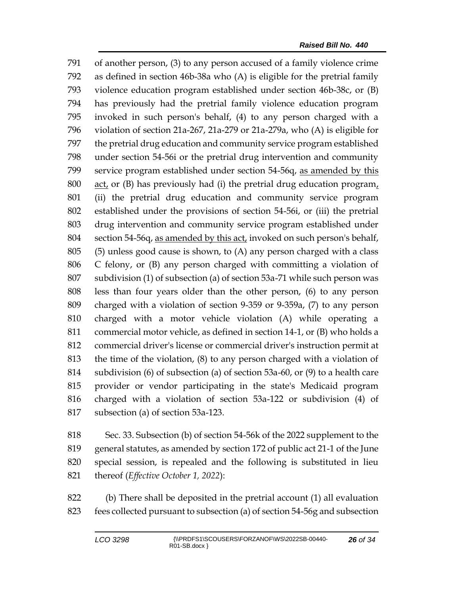of another person, (3) to any person accused of a family violence crime as defined in section 46b-38a who (A) is eligible for the pretrial family violence education program established under section 46b-38c, or (B) has previously had the pretrial family violence education program invoked in such person's behalf, (4) to any person charged with a violation of section 21a-267, 21a-279 or 21a-279a, who (A) is eligible for the pretrial drug education and community service program established under section 54-56i or the pretrial drug intervention and community service program established under section 54-56q, as amended by this  $\alpha$  act, or (B) has previously had (i) the pretrial drug education program, (ii) the pretrial drug education and community service program established under the provisions of section 54-56i, or (iii) the pretrial drug intervention and community service program established under section 54-56q, as amended by this act, invoked on such person's behalf, (5) unless good cause is shown, to (A) any person charged with a class C felony, or (B) any person charged with committing a violation of subdivision (1) of subsection (a) of section 53a-71 while such person was less than four years older than the other person, (6) to any person charged with a violation of section 9-359 or 9-359a, (7) to any person charged with a motor vehicle violation (A) while operating a commercial motor vehicle, as defined in section 14-1, or (B) who holds a commercial driver's license or commercial driver's instruction permit at the time of the violation, (8) to any person charged with a violation of subdivision (6) of subsection (a) of section 53a-60, or (9) to a health care provider or vendor participating in the state's Medicaid program charged with a violation of section 53a-122 or subdivision (4) of subsection (a) of section 53a-123.

 Sec. 33. Subsection (b) of section 54-56k of the 2022 supplement to the general statutes, as amended by section 172 of public act 21-1 of the June special session, is repealed and the following is substituted in lieu thereof (*Effective October 1, 2022*):

 (b) There shall be deposited in the pretrial account (1) all evaluation fees collected pursuant to subsection (a) of section 54-56g and subsection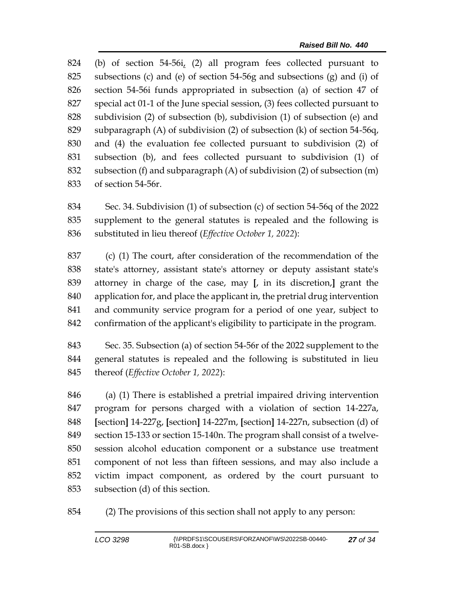(b) of section 54-56i, (2) all program fees collected pursuant to subsections (c) and (e) of section 54-56g and subsections (g) and (i) of section 54-56i funds appropriated in subsection (a) of section 47 of special act 01-1 of the June special session, (3) fees collected pursuant to subdivision (2) of subsection (b), subdivision (1) of subsection (e) and subparagraph (A) of subdivision (2) of subsection (k) of section 54-56q, and (4) the evaluation fee collected pursuant to subdivision (2) of subsection (b), and fees collected pursuant to subdivision (1) of subsection (f) and subparagraph (A) of subdivision (2) of subsection (m) of section 54-56r.

 Sec. 34. Subdivision (1) of subsection (c) of section 54-56q of the 2022 supplement to the general statutes is repealed and the following is substituted in lieu thereof (*Effective October 1, 2022*):

 (c) (1) The court, after consideration of the recommendation of the state's attorney, assistant state's attorney or deputy assistant state's attorney in charge of the case, may **[**, in its discretion,**]** grant the application for, and place the applicant in, the pretrial drug intervention and community service program for a period of one year, subject to confirmation of the applicant's eligibility to participate in the program.

 Sec. 35. Subsection (a) of section 54-56r of the 2022 supplement to the general statutes is repealed and the following is substituted in lieu thereof (*Effective October 1, 2022*):

 (a) (1) There is established a pretrial impaired driving intervention program for persons charged with a violation of section 14-227a, **[**section**]** 14-227g, **[**section**]** 14-227m, **[**section**]** 14-227n, subsection (d) of section 15-133 or section 15-140n. The program shall consist of a twelve- session alcohol education component or a substance use treatment component of not less than fifteen sessions, and may also include a victim impact component, as ordered by the court pursuant to subsection (d) of this section.

(2) The provisions of this section shall not apply to any person: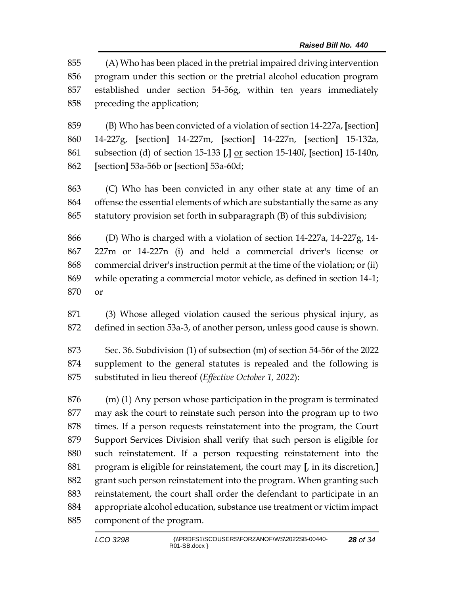(A) Who has been placed in the pretrial impaired driving intervention program under this section or the pretrial alcohol education program established under section 54-56g, within ten years immediately preceding the application;

 (B) Who has been convicted of a violation of section 14-227a, **[**section**]** 14-227g, **[**section**]** 14-227m, **[**section**]** 14-227n, **[**section**]** 15-132a, subsection (d) of section 15-133 **[**,**]** or section 15-140*l*, **[**section**]** 15-140n, **[**section**]** 53a-56b or **[**section**]** 53a-60d;

 (C) Who has been convicted in any other state at any time of an offense the essential elements of which are substantially the same as any statutory provision set forth in subparagraph (B) of this subdivision;

 (D) Who is charged with a violation of section 14-227a, 14-227g, 14- 227m or 14-227n (i) and held a commercial driver's license or commercial driver's instruction permit at the time of the violation; or (ii) while operating a commercial motor vehicle, as defined in section 14-1; or

 (3) Whose alleged violation caused the serious physical injury, as defined in section 53a-3, of another person, unless good cause is shown.

 Sec. 36. Subdivision (1) of subsection (m) of section 54-56r of the 2022 supplement to the general statutes is repealed and the following is substituted in lieu thereof (*Effective October 1, 2022*):

 (m) (1) Any person whose participation in the program is terminated may ask the court to reinstate such person into the program up to two times. If a person requests reinstatement into the program, the Court Support Services Division shall verify that such person is eligible for such reinstatement. If a person requesting reinstatement into the program is eligible for reinstatement, the court may **[**, in its discretion,**]** grant such person reinstatement into the program. When granting such reinstatement, the court shall order the defendant to participate in an appropriate alcohol education, substance use treatment or victim impact component of the program.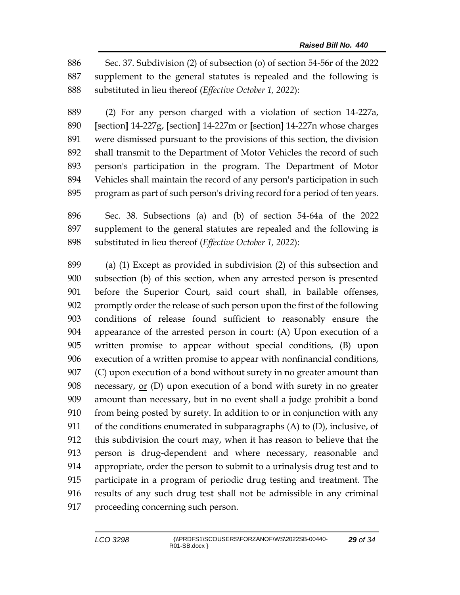Sec. 37. Subdivision (2) of subsection (o) of section 54-56r of the 2022 supplement to the general statutes is repealed and the following is substituted in lieu thereof (*Effective October 1, 2022*):

 (2) For any person charged with a violation of section 14-227a, **[**section**]** 14-227g, **[**section**]** 14-227m or **[**section**]** 14-227n whose charges were dismissed pursuant to the provisions of this section, the division shall transmit to the Department of Motor Vehicles the record of such person's participation in the program. The Department of Motor Vehicles shall maintain the record of any person's participation in such program as part of such person's driving record for a period of ten years.

 Sec. 38. Subsections (a) and (b) of section 54-64a of the 2022 supplement to the general statutes are repealed and the following is substituted in lieu thereof (*Effective October 1, 2022*):

 (a) (1) Except as provided in subdivision (2) of this subsection and subsection (b) of this section, when any arrested person is presented before the Superior Court, said court shall, in bailable offenses, promptly order the release of such person upon the first of the following conditions of release found sufficient to reasonably ensure the appearance of the arrested person in court: (A) Upon execution of a written promise to appear without special conditions, (B) upon execution of a written promise to appear with nonfinancial conditions, (C) upon execution of a bond without surety in no greater amount than necessary, or (D) upon execution of a bond with surety in no greater amount than necessary, but in no event shall a judge prohibit a bond from being posted by surety. In addition to or in conjunction with any of the conditions enumerated in subparagraphs (A) to (D), inclusive, of this subdivision the court may, when it has reason to believe that the person is drug-dependent and where necessary, reasonable and appropriate, order the person to submit to a urinalysis drug test and to participate in a program of periodic drug testing and treatment. The results of any such drug test shall not be admissible in any criminal proceeding concerning such person.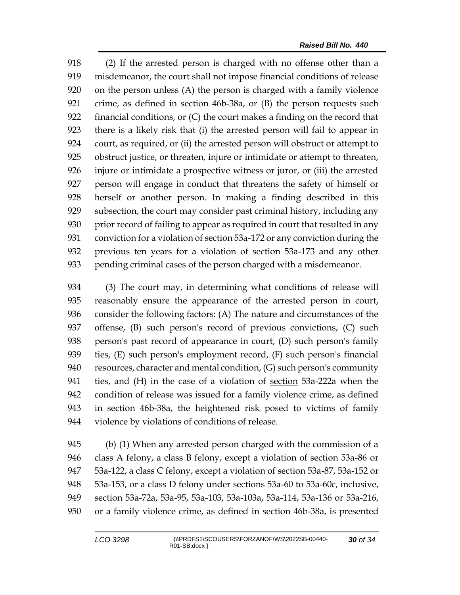(2) If the arrested person is charged with no offense other than a misdemeanor, the court shall not impose financial conditions of release on the person unless (A) the person is charged with a family violence crime, as defined in section 46b-38a, or (B) the person requests such financial conditions, or (C) the court makes a finding on the record that there is a likely risk that (i) the arrested person will fail to appear in court, as required, or (ii) the arrested person will obstruct or attempt to obstruct justice, or threaten, injure or intimidate or attempt to threaten, injure or intimidate a prospective witness or juror, or (iii) the arrested person will engage in conduct that threatens the safety of himself or herself or another person. In making a finding described in this subsection, the court may consider past criminal history, including any prior record of failing to appear as required in court that resulted in any conviction for a violation of section 53a-172 or any conviction during the previous ten years for a violation of section 53a-173 and any other pending criminal cases of the person charged with a misdemeanor.

 (3) The court may, in determining what conditions of release will reasonably ensure the appearance of the arrested person in court, consider the following factors: (A) The nature and circumstances of the offense, (B) such person's record of previous convictions, (C) such person's past record of appearance in court, (D) such person's family ties, (E) such person's employment record, (F) such person's financial resources, character and mental condition, (G) such person's community ties, and (H) in the case of a violation of section 53a-222a when the condition of release was issued for a family violence crime, as defined in section 46b-38a, the heightened risk posed to victims of family violence by violations of conditions of release.

 (b) (1) When any arrested person charged with the commission of a class A felony, a class B felony, except a violation of section 53a-86 or 53a-122, a class C felony, except a violation of section 53a-87, 53a-152 or 53a-153, or a class D felony under sections 53a-60 to 53a-60c, inclusive, section 53a-72a, 53a-95, 53a-103, 53a-103a, 53a-114, 53a-136 or 53a-216, or a family violence crime, as defined in section 46b-38a, is presented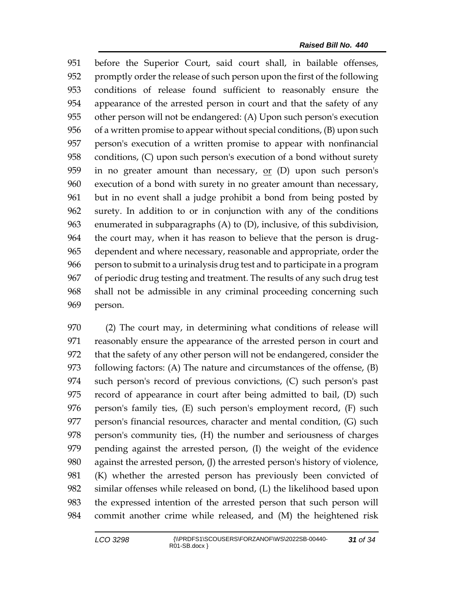before the Superior Court, said court shall, in bailable offenses, promptly order the release of such person upon the first of the following conditions of release found sufficient to reasonably ensure the appearance of the arrested person in court and that the safety of any other person will not be endangered: (A) Upon such person's execution of a written promise to appear without special conditions, (B) upon such person's execution of a written promise to appear with nonfinancial conditions, (C) upon such person's execution of a bond without surety 959 in no greater amount than necessary,  $or$  (D) upon such person's execution of a bond with surety in no greater amount than necessary, but in no event shall a judge prohibit a bond from being posted by surety. In addition to or in conjunction with any of the conditions enumerated in subparagraphs (A) to (D), inclusive, of this subdivision, the court may, when it has reason to believe that the person is drug- dependent and where necessary, reasonable and appropriate, order the person to submit to a urinalysis drug test and to participate in a program of periodic drug testing and treatment. The results of any such drug test shall not be admissible in any criminal proceeding concerning such person.

 (2) The court may, in determining what conditions of release will reasonably ensure the appearance of the arrested person in court and that the safety of any other person will not be endangered, consider the following factors: (A) The nature and circumstances of the offense, (B) such person's record of previous convictions, (C) such person's past record of appearance in court after being admitted to bail, (D) such person's family ties, (E) such person's employment record, (F) such person's financial resources, character and mental condition, (G) such person's community ties, (H) the number and seriousness of charges pending against the arrested person, (I) the weight of the evidence against the arrested person, (J) the arrested person's history of violence, (K) whether the arrested person has previously been convicted of similar offenses while released on bond, (L) the likelihood based upon the expressed intention of the arrested person that such person will commit another crime while released, and (M) the heightened risk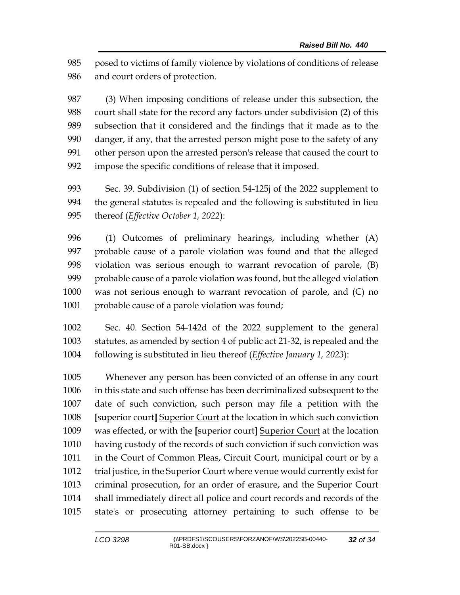posed to victims of family violence by violations of conditions of release and court orders of protection.

 (3) When imposing conditions of release under this subsection, the court shall state for the record any factors under subdivision (2) of this subsection that it considered and the findings that it made as to the danger, if any, that the arrested person might pose to the safety of any other person upon the arrested person's release that caused the court to impose the specific conditions of release that it imposed.

 Sec. 39. Subdivision (1) of section 54-125j of the 2022 supplement to the general statutes is repealed and the following is substituted in lieu thereof (*Effective October 1, 2022*):

 (1) Outcomes of preliminary hearings, including whether (A) probable cause of a parole violation was found and that the alleged violation was serious enough to warrant revocation of parole, (B) probable cause of a parole violation was found, but the alleged violation 1000 was not serious enough to warrant revocation of parole, and (C) no 1001 probable cause of a parole violation was found;

 Sec. 40. Section 54-142d of the 2022 supplement to the general statutes, as amended by section 4 of public act 21-32, is repealed and the following is substituted in lieu thereof (*Effective January 1, 2023*):

 Whenever any person has been convicted of an offense in any court in this state and such offense has been decriminalized subsequent to the date of such conviction, such person may file a petition with the **[**superior court**]** Superior Court at the location in which such conviction was effected, or with the **[**superior court**]** Superior Court at the location having custody of the records of such conviction if such conviction was in the Court of Common Pleas, Circuit Court, municipal court or by a trial justice, in the Superior Court where venue would currently exist for criminal prosecution, for an order of erasure, and the Superior Court shall immediately direct all police and court records and records of the state's or prosecuting attorney pertaining to such offense to be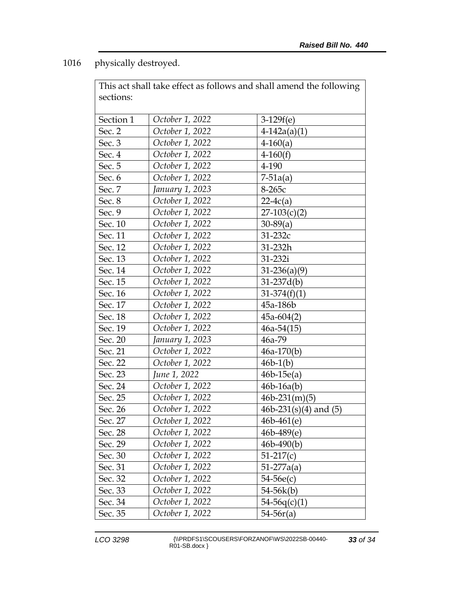1016 physically destroyed.

|           | This act shall take effect as follows and shall amend the following |                         |  |  |
|-----------|---------------------------------------------------------------------|-------------------------|--|--|
| sections: |                                                                     |                         |  |  |
|           |                                                                     |                         |  |  |
| Section 1 | October 1, 2022                                                     | $3-129f(e)$             |  |  |
| Sec. 2    | October 1, 2022                                                     | $4-142a(a)(1)$          |  |  |
| Sec. 3    | October 1, 2022                                                     | $4-160(a)$              |  |  |
| Sec. 4    | October 1, 2022                                                     | $4-160(f)$              |  |  |
| Sec. 5    | October 1, 2022                                                     | 4-190                   |  |  |
| Sec. 6    | October 1, 2022                                                     | $7 - 51a(a)$            |  |  |
| Sec. 7    | January 1, 2023                                                     | 8-265с                  |  |  |
| Sec. 8    | October 1, 2022                                                     | $22-4c(a)$              |  |  |
| Sec. 9    | October 1, 2022                                                     | $27-103(c)(2)$          |  |  |
| Sec. 10   | October 1, 2022                                                     | $30-89(a)$              |  |  |
| Sec. 11   | October 1, 2022                                                     | $31 - 232c$             |  |  |
| Sec. 12   | October 1, 2022                                                     | 31-232h                 |  |  |
| Sec. 13   | October 1, 2022                                                     | 31-232i                 |  |  |
| Sec. 14   | October 1, 2022                                                     | $31-236(a)(9)$          |  |  |
| Sec. 15   | October 1, 2022                                                     | $31-237d(b)$            |  |  |
| Sec. 16   | October 1, 2022                                                     | $31-374(f)(1)$          |  |  |
| Sec. 17   | October 1, 2022                                                     | 45a-186b                |  |  |
| Sec. 18   | October 1, 2022                                                     | $45a-604(2)$            |  |  |
| Sec. 19   | October 1, 2022                                                     | $46a-54(15)$            |  |  |
| Sec. 20   | January 1, 2023                                                     | 46a-79                  |  |  |
| Sec. 21   | October 1, 2022                                                     | $46a-170(b)$            |  |  |
| Sec. 22   | October 1, 2022                                                     | $46b-1(b)$              |  |  |
| Sec. 23   | June 1, 2022                                                        | $46b-15e(a)$            |  |  |
| Sec. 24   | October 1, 2022                                                     | $46b-16a(b)$            |  |  |
| Sec. 25   | October 1, 2022                                                     | $46b-231(m)(5)$         |  |  |
| Sec. 26   | October 1, 2022                                                     | 46b-231(s)(4) and $(5)$ |  |  |
| Sec. 27   | October 1, 2022                                                     | $46b - 461(e)$          |  |  |
| Sec. 28   | October 1, 2022                                                     | $46b - 489(e)$          |  |  |
| Sec. 29   | October 1, 2022                                                     | $46b - 490(b)$          |  |  |
| Sec. 30   | October 1, 2022                                                     | $51-217(c)$             |  |  |
| Sec. 31   | October 1, 2022                                                     | $51-277a(a)$            |  |  |
| Sec. 32   | October 1, 2022                                                     | 54-56e(c)               |  |  |
| Sec. 33   | October 1, 2022                                                     | 54-56k(b)               |  |  |
| Sec. 34   | October 1, 2022                                                     | $54-56q(c)(1)$          |  |  |
| Sec. 35   | October 1, 2022                                                     | $54 - 56r(a)$           |  |  |